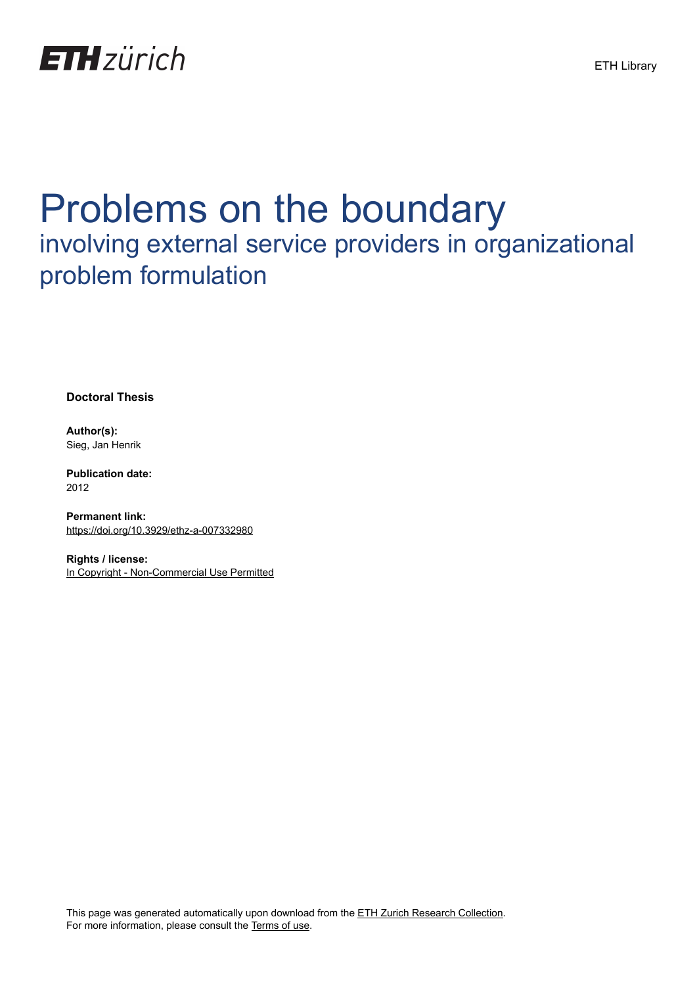

# Problems on the boundary involving external service providers in organizational problem formulation

**Doctoral Thesis**

**Author(s):** Sieg, Jan Henrik

**Publication date:** 2012

**Permanent link:** <https://doi.org/10.3929/ethz-a-007332980>

**Rights / license:** [In Copyright - Non-Commercial Use Permitted](http://rightsstatements.org/page/InC-NC/1.0/)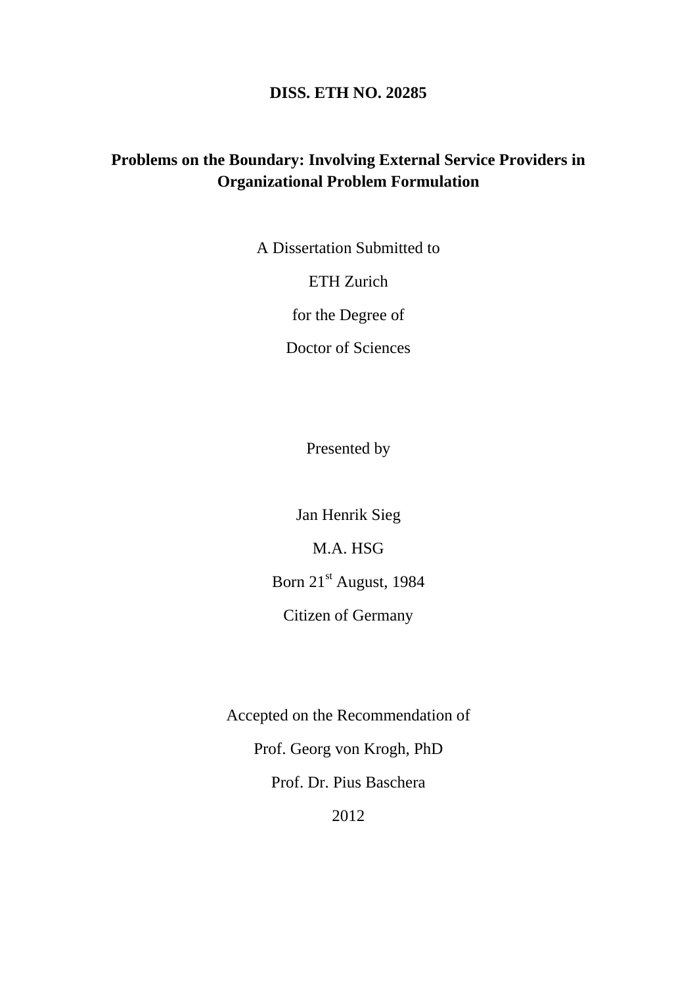#### **DISS. ETH NO. 20285**

### **Problems on the Boundary: Involving External Service Providers in Organizational Problem Formulation**

A Dissertation Submitted to

ETH Zurich

for the Degree of

Doctor of Sciences

Presented by

Jan Henrik Sieg

M.A. HSG

Born 21<sup>st</sup> August, 1984

Citizen of Germany

Accepted on the Recommendation of Prof. Georg von Krogh, PhD Prof. Dr. Pius Baschera 2012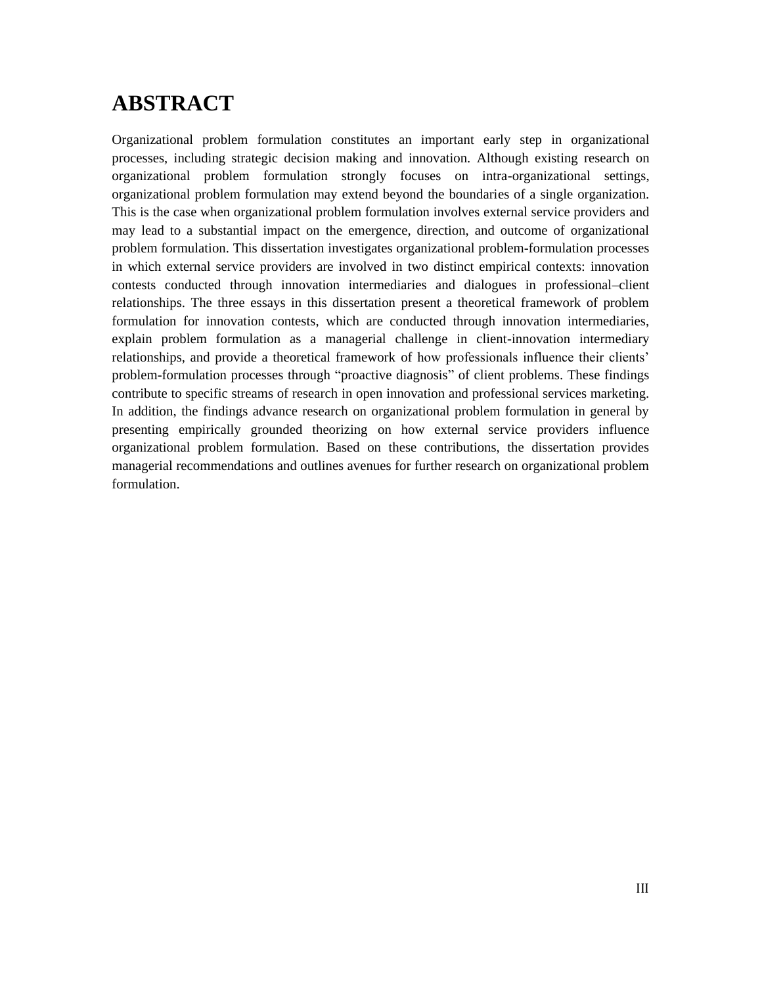## **ABSTRACT**

Organizational problem formulation constitutes an important early step in organizational processes, including strategic decision making and innovation. Although existing research on organizational problem formulation strongly focuses on intra-organizational settings, organizational problem formulation may extend beyond the boundaries of a single organization. This is the case when organizational problem formulation involves external service providers and may lead to a substantial impact on the emergence, direction, and outcome of organizational problem formulation. This dissertation investigates organizational problem-formulation processes in which external service providers are involved in two distinct empirical contexts: innovation contests conducted through innovation intermediaries and dialogues in professional–client relationships. The three essays in this dissertation present a theoretical framework of problem formulation for innovation contests, which are conducted through innovation intermediaries, explain problem formulation as a managerial challenge in client-innovation intermediary relationships, and provide a theoretical framework of how professionals influence their clients' problem-formulation processes through "proactive diagnosis" of client problems. These findings contribute to specific streams of research in open innovation and professional services marketing. In addition, the findings advance research on organizational problem formulation in general by presenting empirically grounded theorizing on how external service providers influence organizational problem formulation. Based on these contributions, the dissertation provides managerial recommendations and outlines avenues for further research on organizational problem formulation.